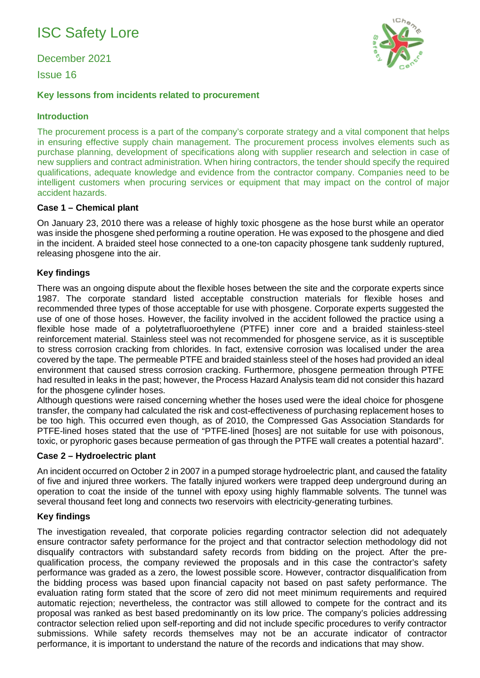# ISC Safety Lore

## December 2021

Issue 16



### **Key lessons from incidents related to procurement**

#### **Introduction**

The procurement process is a part of the company's corporate strategy and a vital component that helps in ensuring effective supply chain management. The procurement process involves elements such as purchase planning, development of specifications along with supplier research and selection in case of new suppliers and contract administration. When hiring contractors, the tender should specify the required qualifications, adequate knowledge and evidence from the contractor company. Companies need to be intelligent customers when procuring services or equipment that may impact on the control of major accident hazards.

#### **Case 1 – Chemical plant**

On January 23, 2010 there was a release of highly toxic phosgene as the hose burst while an operator was inside the phosgene shed performing a routine operation. He was exposed to the phosgene and died in the incident. A braided steel hose connected to a one-ton capacity phosgene tank suddenly ruptured, releasing phosgene into the air.

#### **Key findings**

There was an ongoing dispute about the flexible hoses between the site and the corporate experts since 1987. The corporate standard listed acceptable construction materials for flexible hoses and recommended three types of those acceptable for use with phosgene. Corporate experts suggested the use of one of those hoses. However, the facility involved in the accident followed the practice using a flexible hose made of a polytetrafluoroethylene (PTFE) inner core and a braided stainless-steel reinforcement material. Stainless steel was not recommended for phosgene service, as it is susceptible to stress corrosion cracking from chlorides. In fact, extensive corrosion was localised under the area covered by the tape. The permeable PTFE and braided stainless steel of the hoses had provided an ideal environment that caused stress corrosion cracking. Furthermore, phosgene permeation through PTFE had resulted in leaks in the past; however, the Process Hazard Analysis team did not consider this hazard for the phosgene cylinder hoses.

Although questions were raised concerning whether the hoses used were the ideal choice for phosgene transfer, the company had calculated the risk and cost-effectiveness of purchasing replacement hoses to be too high. This occurred even though, as of 2010, the Compressed Gas Association Standards for PTFE-lined hoses stated that the use of "PTFE-lined [hoses] are not suitable for use with poisonous, toxic, or pyrophoric gases because permeation of gas through the PTFE wall creates a potential hazard".

#### **Case 2 – Hydroelectric plant**

An incident occurred on October 2 in 2007 in a pumped storage hydroelectric plant, and caused the fatality of five and injured three workers. The fatally injured workers were trapped deep underground during an operation to coat the inside of the tunnel with epoxy using highly flammable solvents. The tunnel was several thousand feet long and connects two reservoirs with electricity-generating turbines.

#### **Key findings**

The investigation revealed, that corporate policies regarding contractor selection did not adequately ensure contractor safety performance for the project and that contractor selection methodology did not disqualify contractors with substandard safety records from bidding on the project. After the prequalification process, the company reviewed the proposals and in this case the contractor's safety performance was graded as a zero, the lowest possible score. However, contractor disqualification from the bidding process was based upon financial capacity not based on past safety performance. The evaluation rating form stated that the score of zero did not meet minimum requirements and required automatic rejection; nevertheless, the contractor was still allowed to compete for the contract and its proposal was ranked as best based predominantly on its low price. The company's policies addressing contractor selection relied upon self-reporting and did not include specific procedures to verify contractor submissions. While safety records themselves may not be an accurate indicator of contractor performance, it is important to understand the nature of the records and indications that may show.